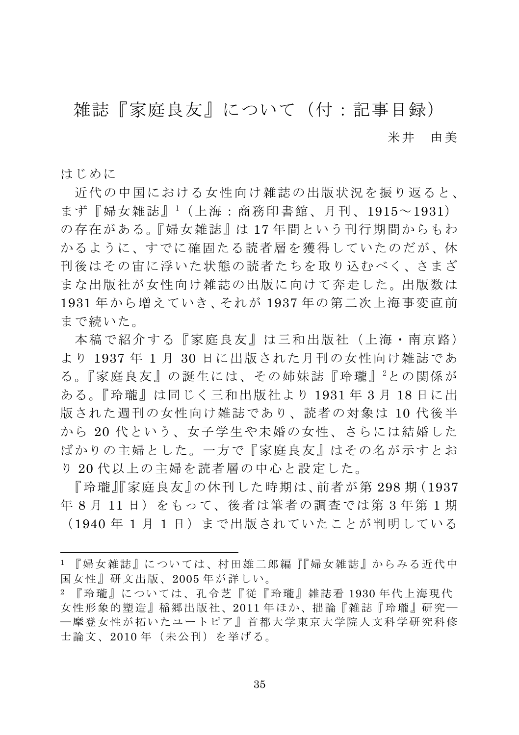## 雑誌『家庭良友』について(付:記事目録)

米井 由美

はじめに

近代の中国における女性向け雑誌の出版状況を振り返ると、 まず『婦女雑誌』<sup>1</sup>(上海:商務印書館、月刊、1915~1931) の存在がある。『婦女雑誌』は17年間という刊行期間からもわ かるように、すでに確固たる読者層を獲得していたのだが、休 刊後はその宙に浮いた状態の読者たちを取り込むべく、さまざ まな出版社が女性向け雑誌の出版に向けて奔走した。出版数は 1931年から増えていき、それが1937年の第二次上海事変直前 まで続いた。

本稿で紹介する『家庭良友』は三和出版社(上海·南京路) より 1937年1月30日に出版された月刊の女性向け雑誌であ る。『家庭良友』の誕生には、その姉妹誌『玲瓏』2との関係が ある。『玲瓏』は同じく三和出版社より 1931年3月18日に出 版された调刊の女性向け雑誌であり、読者の対象は 10代後半 から 20代という、女子学生や未婚の女性、さらには結婚した ばかりの主婦とした。一方で『家庭良友』はその名が示すとお り20代以上の主婦を読者層の中心と設定した。

『玲瓏』『家庭良友』の休刊した時期は、前者が第298期(1937 年8月11日) をもって、後者は筆者の調査では第3年第1期 (1940年1月1日)まで出版されていたことが判明している

<sup>1 『</sup>婦女雑誌』については、村田雄二郎編『『婦女雑誌』からみる近代中 国女性』研文出版、2005年が詳しい。

<sup>2 『</sup>玲瓏』については、孔令芝『従『玲瓏』雑誌看 1930年代上海現代 女性形象的塑造』稲郷出版社、2011年ほか、拙論『雑誌『玲瓏』研究一 一摩登女性が拓いたユートピア』首都大学東京大学院人文科学研究科修 士論文、2010年(未公刊)を挙げる。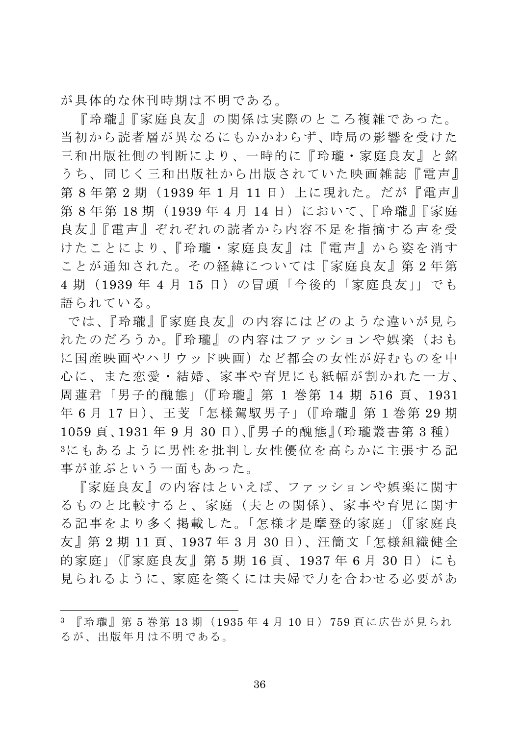が具体的な休刊時期は不明である。

『玲瓏』『家庭良友』の関係は実際のところ複雑であった。 当初から読者層が異なるにもかかわらず、時局の影響を受けた 三和出版社側の判断により、一時的に『玲瓏・家庭良友』と銘 うち、同じく三和出版社から出版されていた映画雑誌『雷声』 第8年第2期(1939年1月11日)上に現れた。だが『雷声』 第8年第18期 (1939年4月14日) において、『玲瓏』『家庭 良友』『電声』ぞれぞれの読者から内容不足を指摘する声を受 けたことにより、『玲瓏・家庭良友』は『雷声』から姿を消す ことが通知された。その経緯については『家庭良友』第2年第 4 期 (1939年4月15日)の冒頭「今後的「家庭良友」」でも 語られている。

では、『玲瓏』『家庭良友』の内容にはどのような違いが見ら れたのだろうか。『玲瓏』の内容はファッションや娯楽(おも に国産映画やハリウッド映画)など都会の女性が好むものを中 心に、また恋愛・結婚、家事や育児にも紙幅が割かれた一方、 周蓮君「男子的醜熊」(『玲瓏』第 1 巻第 14 期 516 頁、1931 年 6月17日)、王芰「怎樣駕馭男子」(『玲瓏』第1巻第29期 1059 頁、1931 年 9 月 30 日)、『男子的醜熊』(玲瓏叢書第 3 種) 3にもあるように男性を批判し女性優位を高らかに主張する記 事が並ぶという一面もあった。

『家庭良友』の内容はといえば、ファッションや娯楽に関す るものと比較すると、家庭(夫との関係)、家事や育児に関す る記事をより多く掲載した。「怎様才是摩登的家庭」(『家庭良 友』第2期11頁、1937年3月30日)、汪簡文「怎様組織健全 的家庭」(『家庭良友』第5期16頁、1937年6月30日)にも 見られるように、家庭を築くには夫婦で力を合わせる必要があ

<sup>3 『</sup>玲瓏』第5巻第13期 (1935年4月10日) 759 百に広告が見られ るが、出版年月は不明である。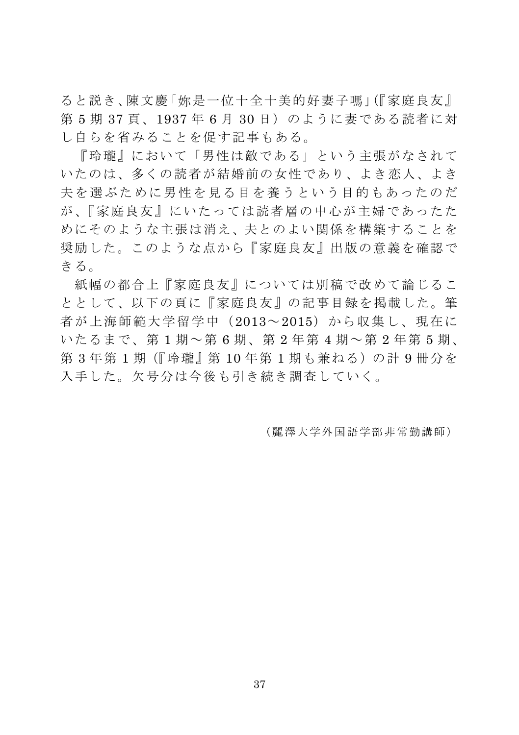ると説き、陳文慶「妳是一位十全十美的好妻子嗎」(『家庭良友』 第5期37頁、1937年6月30日)のように妻である読者に対 し自らを省みることを促す記事もある。

『玲瓏』において「男性は敵である」という主張がなされて いたのは、多くの読者が結婚前の女性であり、よき恋人、よき 夫を選ぶために男性を見る目を養うという目的もあったのだ が、『家庭良友』にいたっては読者層の中心が主婦であったた めにそのような主張は消え、夫とのよい関係を構築することを 奨励した。このような点から『家庭良友』出版の意義を確認で きる。

紙幅の都合上『家庭良友』については別稿で改めて論じるこ ととして、以下の百に『家庭良友』の記事目録を掲載した。筆 者が上海師範大学留学中(2013~2015)から収集し、現在に いたるまで、第1期~第6期、第2年第4期~第2年第5期、 第3年第1期(『玲瓏』第10年第1期も兼ねる)の計9冊分を 入手した。欠号分は今後も引き続き調査していく。

(麗澤大学外国語学部非常勤講師)

37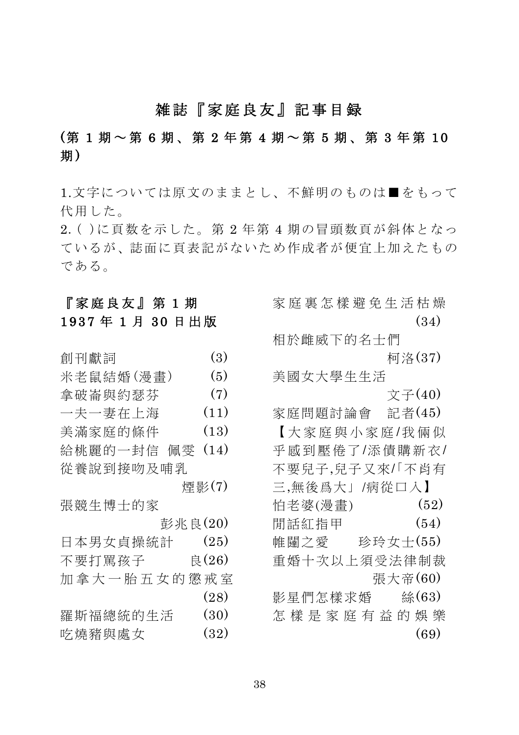#### 雑誌『家庭良友』記事目録

### (第 1 期 ~ 第 6 期、第 2 年第 4 期 ~ 第 5 期、第 3 年第 10 期)

1.文字については原文のままとし、不鮮明のものは■をもって 代用した。

2. ()に頁数を示した。第2年第4期の冒頭数頁が斜体となっ ているが、誌面に頁表記がないため作成者が便宜上加えたもの である。

#### 『家庭良友』 第 1期 1937年1月30日出版

| 創刊獻詞        | (3)   |
|-------------|-------|
| 米老鼠結婚(漫畫)   | (5)   |
| 拿破崙與約瑟芬     | (7)   |
| 一夫一妻在上海     | (11)  |
| 美滿家庭的條件     | (13)  |
| 給桃麗的一封信 佩零  | (14)  |
| 從養說到接吻及哺乳   |       |
|             | 煙影(7) |
| 張競生博士的家     |       |
| 彭兆良(20)     |       |
| 日本男女貞操統計    | (25)  |
| 不要打罵孩子      | 良(26) |
| 加拿大一胎五女的懲戒室 |       |
|             | (28)  |
| 羅斯福總統的生活    | (30)  |
|             |       |

| 吃燒豬與處女 | (32) |
|--------|------|
|--------|------|

家 庭 裏 怎 樣 澼 免 牛 活 枯 燥  $(34)$ 

相於雌威下的名十們 **柯洛(37)** 美國女大學生生活

文子(40)

家庭問題討論會 記者(45) 【大家庭與小家庭/我倆似 平感到壓倦了/添債購新衣/ 不要兒子,兒子又來/「不肖有

三,無後爲大」/病從口入】 怕老婆(漫書)  $(52)$ 閒話紅指甲  $(54)$ 帷闥之愛 珍玲女士(55) 重婚十次以上須受法律制裁

張大帝(60)

影星們怎樣求婚 絲(63) 怎樣是家庭有益的娛樂  $(69)$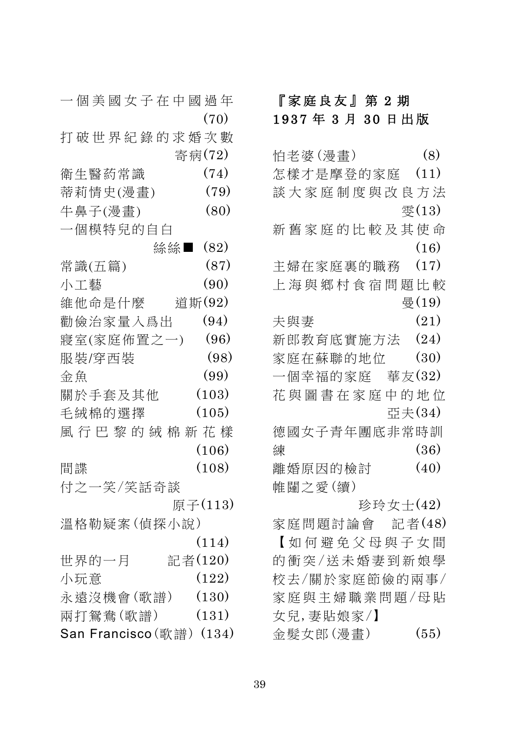| 一個美國女子在中國過年              |          | Г              |
|--------------------------|----------|----------------|
|                          | (70)     | 1 <sub>3</sub> |
| 打破世界紀錄的求婚次數              |          |                |
|                          | 寄病(72)   | 怕              |
| 衛生醫葯常識                   | (74)     | 怎              |
| 蒂莉情史(漫畫)                 | (79)     | 談              |
| 牛鼻子(漫畫)                  | (80)     |                |
| 一個模特兒的自白                 |          | 新              |
|                          | 絲絲■ (82) |                |
| 常識(五篇)                   | (87)     | 主              |
| 小工藝                      | (90)     | 上              |
| 維他命是什麼 道斯(92)            |          |                |
| 勸儉治家量入爲出                 | (94)     | 夫              |
| 寢室(家庭佈置之一)               | (96)     | 新              |
| 服裝/穿西裝                   | (98)     | 家              |
| 金魚                       | (99)     |                |
| 關於手套及其他                  | (103)    | 花              |
| 毛絨棉的選擇                   | (105)    |                |
| 風行巴黎的絨棉新花樣               |          | 德              |
|                          | (106)    | 練              |
| 間諜                       | (108)    | 離              |
| 付之一笑/笑話奇談                |          | 帷              |
|                          | 原子(113)  |                |
| 溫格勒疑案(偵探小說)              |          | 家              |
|                          | (114)    | ľ              |
| 世界的一月                    | 記者(120)  | 的              |
| 小玩意                      | (122)    | 校              |
| 永遠沒機會(歌譜) (130)          |          | 家              |
| 兩打鴛鴦(歌譜)                 | (131)    | 女              |
| San Francisco (歌譜) (134) |          | 金              |

# 家庭良友』第2期 937年3月30日出版

| 怕老婆(漫畫)    |                |          | (8)               |
|------------|----------------|----------|-------------------|
|            | 怎樣才是摩登的家庭 (11) |          |                   |
|            | 談大家庭制度與改良方法    |          |                   |
|            |                |          | 零 $(13)$          |
|            | 新舊家庭的比較及其使命    |          |                   |
|            |                |          | (16)              |
|            | 主婦在家庭裏的職務      |          | (17)              |
|            | 上海與鄉村食宿問題比較    |          |                   |
|            |                |          | $\frac{1}{2}(19)$ |
| 夫與妻        |                |          | (21)              |
|            | 新郎教育底實施方法 (24) |          |                   |
|            | 家庭在蘇聯的地位       |          | (30)              |
|            | 一個幸福的家庭 華友(32) |          |                   |
|            | 花與圖書在家庭中的地位    |          |                   |
|            |                | 亞夫(34)   |                   |
|            | 德國女子青年團底非常時訓   |          |                   |
| 練          |                |          | (36)              |
| 離婚原因的檢討    |                |          | (40)              |
| 帷闥之愛(續)    |                |          |                   |
|            |                | 珍玲女士(42) |                   |
|            | 家庭問題討論會 記者(48) |          |                   |
|            | 【如何避免父母與子女間    |          |                   |
|            | 的衝突/送未婚妻到新娘學   |          |                   |
|            | 校去/關於家庭節儉的兩事/  |          |                   |
|            | 家庭與主婦職業問題/母貼   |          |                   |
| 女兒, 妻貼娘家/】 |                |          |                   |
| 金髮女郎(漫畫)   |                |          | (55)              |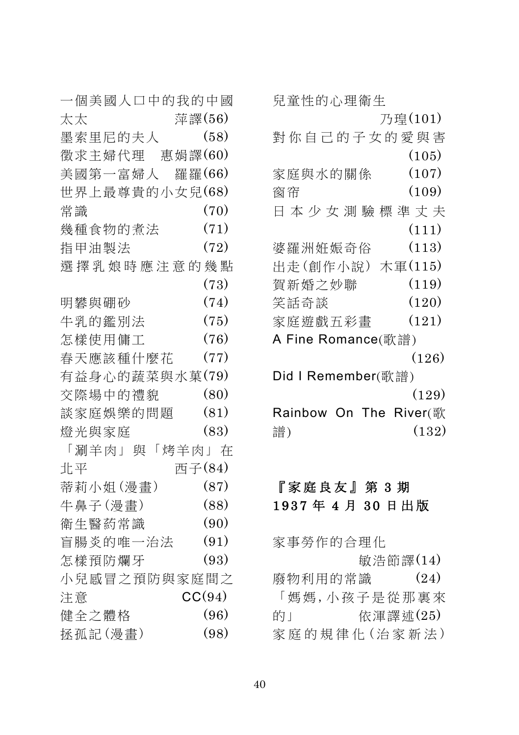| 一個美國人口中的我的中國   |        |
|----------------|--------|
| 萍譯(56)<br>太太   |        |
| 墨索里尼的夫人        | (58)   |
| 徵求主婦代理 惠娟譯(60) |        |
| 美國第一富婦人 羅羅(66) |        |
| 世界上最尊貴的小女兒(68) |        |
| 常識             | (70)   |
| 幾種食物的煮法        | (71)   |
| 指甲油製法          | (72)   |
| 選擇乳娘時應注意的幾點    |        |
|                | (73)   |
| 明礬與硼砂          | (74)   |
| 牛乳的鑑別法         | (75)   |
| 怎樣使用傭工         | (76)   |
| 春天應該種什麼花       | (77)   |
| 有益身心的蔬菜與水菓(79) |        |
| 交際場中的禮貌        | (80)   |
| 談家庭娛樂的問題       | (81)   |
| 燈光與家庭          | (83)   |
| 「涮羊肉」與「烤羊肉」在   |        |
| 西子(84)<br>北平   |        |
| 蒂莉小姐(漫畫)       | (87)   |
| 牛鼻子(漫畫)        | (88)   |
| 衛生醫药常識         | (90)   |
| 盲腸炎的唯一治法       | (91)   |
| 怎樣預防爛牙         | (93)   |
| 小兒感冒之預防與家庭間之   |        |
| 注意             | CC(94) |
| 健全之體格          | (96)   |
| 拯孤記(漫畫)        | (98)   |

| 兒童性的心理衛生                  |         |
|---------------------------|---------|
|                           | 乃瑝(101) |
| 對你自己的子女的愛與害               |         |
|                           | (105)   |
| 家庭與水的關係                   | (107)   |
| 窗帘                        | (109)   |
| 日本少女測驗標準丈夫                |         |
|                           | (111)   |
| 婆羅洲姙娠奇俗                   | (113)   |
| 出走(創作小說)                  | 木軍(115) |
| 賀新婚之妙聯                    | (119)   |
| 笑話奇談                      | (120)   |
| 家庭遊戲五彩畫                   | (121)   |
| A Fine Romance(歌譜)        |         |
|                           | (126)   |
| Did I Remember(歌譜)        |         |
|                           | (129)   |
| Rainbow<br>On The River(歌 |         |
| 譜)                        | (132)   |

#### 『家庭良友』第3期 1937年4月30日出版

家事勞作的合理化 敏浩節譯(14) 廢物利用的常識 (24) 「媽媽,小孩子是從那裏來 的」 你渾譯述(25) 家庭的規律化(治家新法)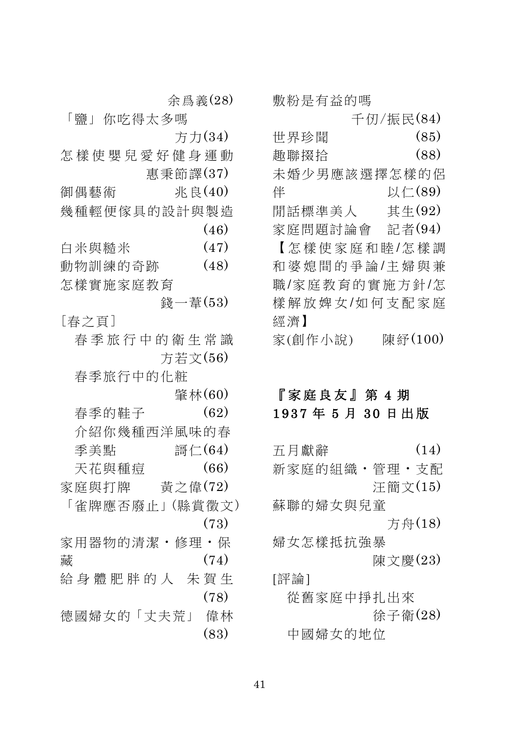敷粉是有益的嗎

千仞/振民(84)

世界珍聞  $(85)$ 趣聯掇拾  $(88)$ 未婚少男應該選擇怎樣的侶 伴 以仁(89) 間話標準美人 其生 $(92)$ 記者(94) 家庭問題討論會 【怎樣使家庭和睦/怎樣調 和婆媳間的爭論/主婦與兼

職/家庭教育的實施方針/怎 樣解放婢女/如何支配家庭 經濟】

家(創作小說) 陳経(100)

#### 『家庭良友』第4期 1937年5月30日出版

五月獻辭  $(14)$ 新家庭的組織·管理·支配 汗簡文(15) 蘇聯的婦女與兒童 方舟(18) 婦女怎樣抵抗強暴 陳文慶(23) [評論] 從舊家庭中掙扎出來

徐子衛(28) 中國婦女的地位

余爲義(28)

「鹽」你吃得太多嗎 方力(34)

怎樣使嬰兒愛好健身運動 惠秉節譯(37)

兆良(40) 御偶藝術 幾種輕便傢且的設計與製浩  $(46)$ 

 $(47)$ 白米與糙米

動物訓練的奇跡  $(48)$ 怎樣實施家庭教育

<u> 縫一葦(53</u>) [春之百]

春季旅行中的衛生常識 方若文(56)

春季旅行中的化粧

肇林(60)  $(62)$ 

春季的鞋子 介紹你幾種西洋風味的春 語仁(64) 季美點 天花與種痘  $(66)$ 家庭與打牌 黃之偉 $(72)$ 「雀牌應否廢止」(縣嘗徵文)  $(73)$ 家用器物的清潔·修理·保 藏  $(74)$ 給身體肥胖的人 朱賀生  $(78)$ 

德國婦女的「丈夫荒」 偉林  $(83)$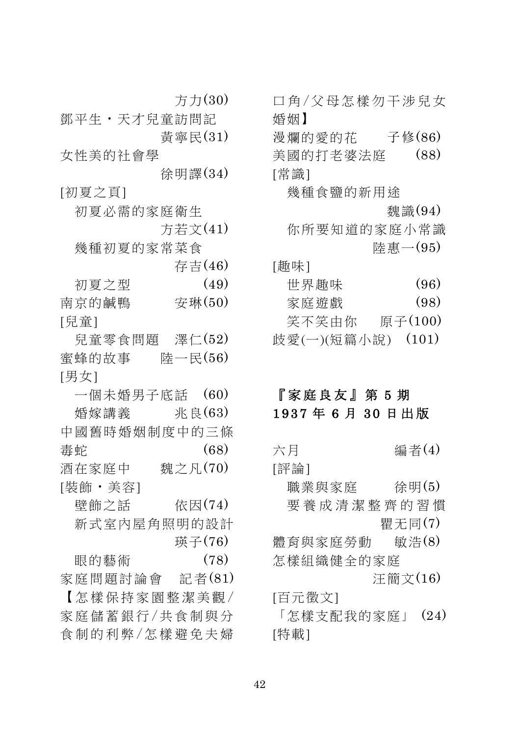方力 $(30)$ 

鄧平牛 · 天才兒童訪問記 黃寧民(31)

女性美的社會學

徐明譯(34) [初夏之頁]

初夏必需的家庭衛生

方若文(41)

幾種初夏的家常菜食

存吉 $(46)$ 

初夏之型  $(49)$ 南京的鹹鴨  $\overline{\mathcal{F}}$ 琳 $(50)$ [兒童]

兒童零食問題 澤仁 $(52)$ 蜜蜂的故事 陸一民(56) [男女]

一個未婚男子底話 (60) 婚嫁講義 米良(63) 中國舊時婚姻制度中的三條  $(68)$ 毒蛇 酒在家庭中 魏之凡(70) [裝飾・美容] 壁飾之話 依因(74) 新式室内屋角照明的設計 璍子(76)  $(78)$ 眼的藝術

家庭問題討論會 記者(81) 【怎樣保持家園整潔美觀/ 家庭儲蓄銀行/共食制與分 食制的利弊/怎樣避免夫婦 口鱼/父母怎樣勿干涉兒女 婚姻】 漫爛的愛的花 子修(86) 美國的打老婆法庭 (88) [常識] 幾種食鹽的新用涂 魏識(94) 你所要知道的家庭小常識 陸惠  $-(95)$ [趣味] 世界趣味  $(96)$ 家庭遊戲  $(98)$ 笑不笑由你 原子(100) 歧愛(一)(短篇小說) (101)

#### 『家庭良友』第5期 1937年6月30日出版

六月 编者(4)

[評論]

職業與家庭 徐明(5) 要養成清潔整齊的習慣 瞿无同(7)

體育與家庭勞動 敏浩(8) 怎樣組織健全的家庭

汪簡文(16)

[百元徵文]

「怎樣支配我的家庭」 (24) [特載]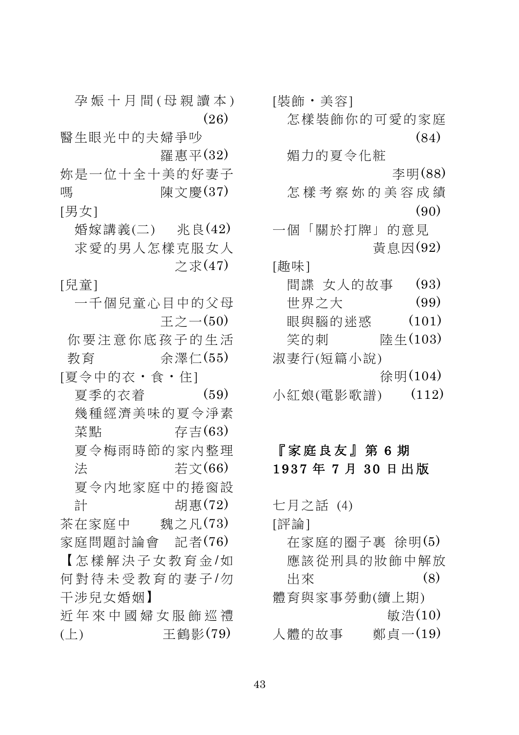怎樣裝飾你的可愛的家庭 (84) 媚力的夏令化粧 ƅű(88) 怎樣考察妳的美容成績  $(90)$ 一個「關於打牌」的意見 黃息因(92) [趣味] 間諜 女人的故事 (93) 世界之大 (99) 眼與腦的迷惑 (101) ȢǾm ́Ǭ(103) 淑妻行(短篇小說) 徐明 $(104)$ 小紅娘(電影歌譜) (112)

## 『家庭良友』第6期 1937年7月30日出版

七月之話 (4) [評論]  $\overline{a}$  存家庭的圈子裏 徐明(5) 應該從刑具的妝飾中解放 出來  $(8)$ 體育與家事勞動(續上期)  $\frac{25}{60}$  (10) 人體的故事<br>
鄭貞一(19)

- 孕娠十月間(母親讀本) - [裝飾・美容]  $(26)$ 

醫生眼光中的夫婦爭吵 羅惠平(32)

妳是一位十全十美的好妻子。 嗎 陳文慶 $(37)$ [男女]

婚嫁講義(二) 兆良(42) 求愛的男人怎樣克服女人 之求 $(47)$ 

[兒童]

一千個兒童心目中的父母  $\mp \geq -(50)$ 

你要注音你底孩子的生活 数育 余澤仁(55) [夏今中的衣 · 食 · 住]

 $\overline{g}$  季的衣着 (59) 幾種經濟美味的夏今淨素 菜點 有吉(63) 夏今梅雨時節的家内整理 法 若文(66)

夏今内地家庭中的捲窗設 計 胡惠 $(72)$ 

茶在家庭中 魏之凡 $(73)$ 家庭問題討論會 記者(76)

【怎樣解決子女教育金/如 何對待未受教育的妻子/勿 干涉兒女婚姻】

折年來中國婦女服飾巡禮  $(\pm)$ 王鶴影(79)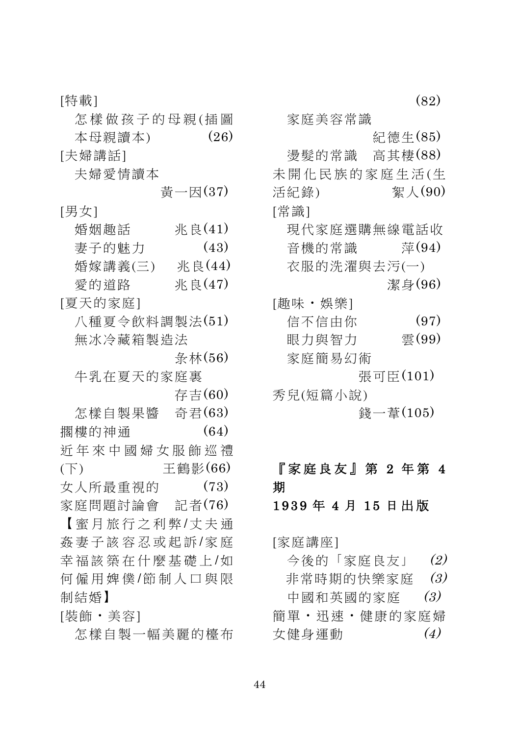[特載] 怎樣做孩子的母親(插圖 本母親讀本)  $(26)$ [夫婦講話] 夫婦愛情讀本 黄一因(37) [男女] 婚姻趣話 **米良(41)**  $(43)$ 妻子的魅力 婚嫁講義(三) 兆良(44) 愛的道路 米良(47) [夏天的家庭] 八種夏今飲料調製法(51) 無冰冷藏箱製浩法  $\frac{4}{36}$  林  $(56)$ 牛乳在夏天的家庭裏 存吉(60) 怎樣自製果醬 奇君(63)  $(64)$ 擱樓的神涌 折年來中國婦女服飾巡禮 干鶴影 $(66)$  $(F)$ 女人所最重視的  $(73)$ 家庭問題討論會 記者(76) 【密月旅行之利弊/丈夫诵 姦妻子該容忍或起訴/家庭 幸福該築在什麼基礎上/如 何僱用婢僕/節制人口與限 制結婚】 [裝飾・美容]

怎樣白製一幅美麗的檯布

家庭美容常識 紀德生(85) 燙髮的常識 高其棲(88) 未開化民族的家庭生活(生 活紀錄) 絮人(90) [常識] 現代家庭選購無線電話收 音機的常識  $\tilde{\pi}(94)$ 衣服的洗濯與去污(一) 潔身(96) [趣味・娯樂]  $(97)$ 信不信由你 眼力龃智力 雪(99) 家庭簡易幻術 張可臣(101) 秀兒(短篇小說) 錢−葦 $(105)$ 

 $(82)$ 

# 『家庭良友』第 2 年第 4 期

#### 1939年4月15日出版

[家庭講座]

今後的「家庭良友」 (2)

非常時期的快樂家庭  $(3)$ 

中國和英國的家庭  $(3)$ 簡單·汛速·健康的家庭婦 女健身運動  $(4)$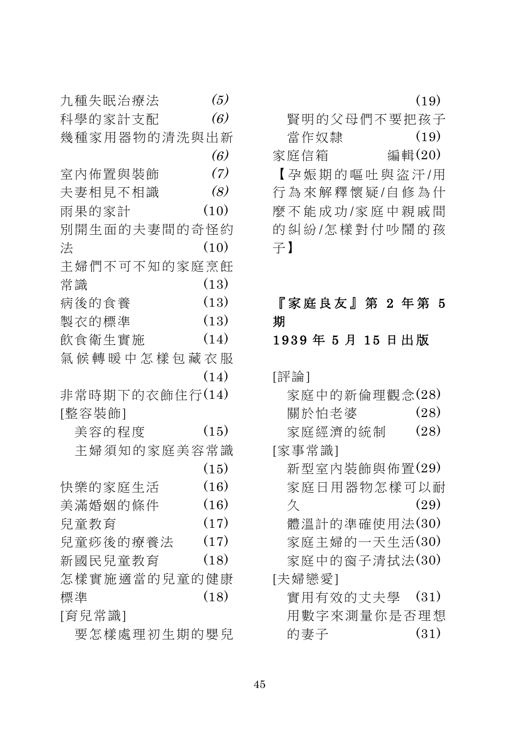|   | 九種失眠治療法        | (5)  |
|---|----------------|------|
|   | 科學的家計支配        | (6)  |
|   | 幾種家用器物的清洗與出新   |      |
|   |                | (6)  |
|   | 室内佈置與裝飾        | (7)  |
|   | 夫妻相見不相識        | (8)  |
|   | 雨果的家計          | (10) |
|   | 別開生面的夫妻間的奇怪約   |      |
| 法 |                | (10) |
|   | 主婦們不可不知的家庭烹飪   |      |
|   | 常識             | (13) |
|   | 病後的食養          | (13) |
|   | 製衣的標準          | (13) |
|   | 飲食衛生實施         | (14) |
|   | 氣候轉暖中怎樣包藏衣服    |      |
|   |                | (14) |
|   | 非常時期下的衣飾住行(14) |      |
|   | [整容裝飾]         |      |
|   | 美容的程度          | (15) |
|   | 主婦須知的家庭美容常識    |      |
|   |                | (15) |
|   | 快樂的家庭生活        | (16) |
|   | 美滿婚姻的條件        | (16) |
|   | 兒童教育           | (17) |
|   | 兒童痧後的療養法       | (17) |
|   | 新國民兒童教育        | (18) |
|   | 怎樣實施適當的兒童的健康   |      |
|   | 標準             | (18) |
|   | [育兒常識]         |      |
|   | 要怎樣處理初生期的嬰兒    |      |

|              | (19)   |
|--------------|--------|
| 腎明的父母們不要把孩子  |        |
| 當作奴隸         | (19)   |
| 家庭信箱         | 編輯(20) |
| 【孕娠期的嘔吐與盜汗/用 |        |
| 行為來解釋懷疑/自修為什 |        |
| 麼不能成功/家庭中親戚間 |        |
| 的糾紛/怎樣對付吵鬧的孩 |        |
| 子】           |        |

# 『家庭良友』第 2 年第 5 期

# 1939年5月15日出版

[評論]

| 家庭中的新倫理觀念(28) |       |  |  |  |      |  |
|---------------|-------|--|--|--|------|--|
|               | 關於怕老婆 |  |  |  | (28) |  |
| 家庭經濟的統制       |       |  |  |  | (28) |  |
| [家事常識]        |       |  |  |  |      |  |
| 新型室内裝飾與佈置(29) |       |  |  |  |      |  |
| 家庭日用器物怎樣可以耐   |       |  |  |  |      |  |
| 久             |       |  |  |  | (29) |  |
| 體溫計的準確使用法(30) |       |  |  |  |      |  |
| 家庭主婦的一天生活(30) |       |  |  |  |      |  |
| 家庭中的窗子清拭法(30) |       |  |  |  |      |  |
| [夫婦戀愛]        |       |  |  |  |      |  |
| 實用有效的丈夫學      |       |  |  |  | (31) |  |
| 用數字來測量你是否理想   |       |  |  |  |      |  |
| 的妻子           |       |  |  |  | (31) |  |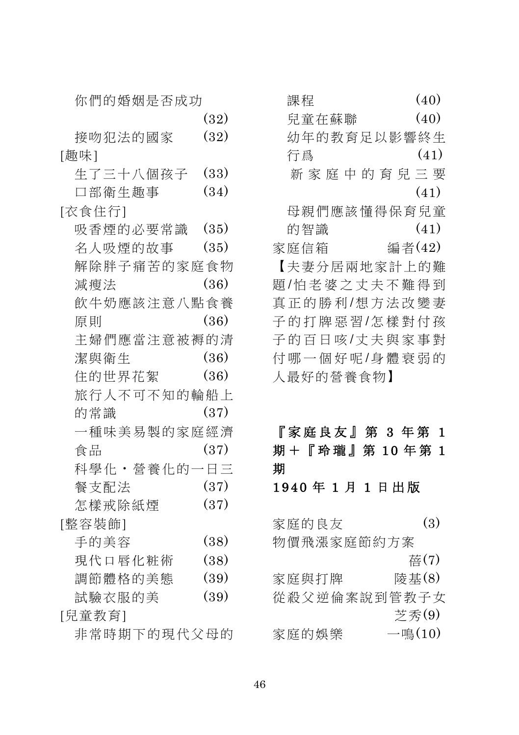| (32)        |
|-------------|
| (32)        |
|             |
| (33)        |
| (34)        |
|             |
| (35)        |
| (35)        |
| 解除胖子痛苦的家庭食物 |
| (36)        |
| 飲牛奶應該注意八點食養 |
| (36)        |
| 主婦們應當注意被褥的清 |
| (36)        |
| (36)        |
| 旅行人不可不知的輪船上 |
| (37)        |
| 一種味美易製的家庭經濟 |
| (37)        |
| 科學化・營養化的一日三 |
| (37)        |
| (37)        |
|             |
| (38)        |
| (38)        |
| (39)        |
| (39)        |
|             |
| 非常時期下的現代父母的 |
|             |

| 課程                | (40)   |
|-------------------|--------|
| 兒童在蘇聯             | (40)   |
| 幼年的教育足以影響終生       |        |
| 行爲                | (41)   |
| 新 家 庭 中 的 育 兒 三 要 |        |
|                   | (41)   |
| 母親們應該懂得保育兒童       |        |
| 的智識               | (41)   |
| 家庭信箱              | 編者(42) |
| 【夫妻分居兩地家計上的難      |        |
| 題/怕老婆之丈夫不難得到      |        |
| 真正的勝利/想方法改變妻      |        |
| 子的打牌惡習/怎樣對付孩      |        |
| 子的百日咳/丈夫與家事對      |        |
| 付哪一個好呢/身體衰弱的      |        |
| 人最好的營養食物】         |        |
|                   |        |

## 『家庭良友』第 3年第 1 期+『玲瓏』第10年第1 期 1940年1月1日出版

 $(3)$ 家庭的良友 物價飛漲家庭節約方案 蓓(7) 家庭與打牌 陵基(8) 從殺父逆倫案說到管教子女 芝秀(9)  $-\mathbb{I}(\pm 10)$ 家庭的娛樂